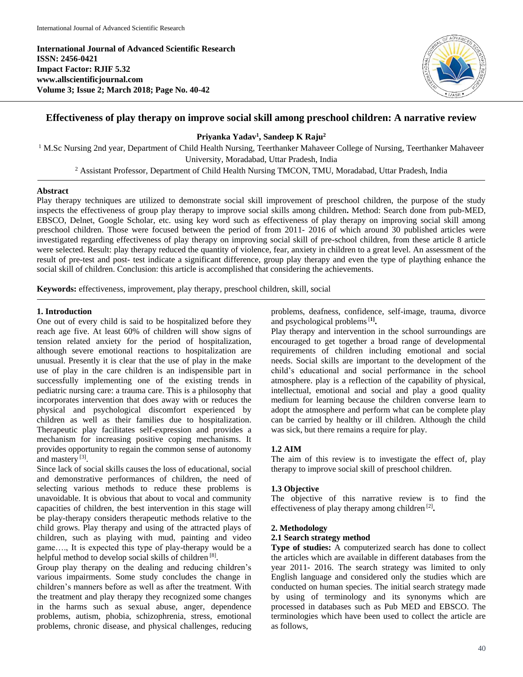**International Journal of Advanced Scientific Research ISSN: 2456-0421 Impact Factor: RJIF 5.32 www.allscientificjournal.com Volume 3; Issue 2; March 2018; Page No. 40-42**



# **Effectiveness of play therapy on improve social skill among preschool children: A narrative review**

## **Priyanka Yadav<sup>1</sup> , Sandeep K Raju<sup>2</sup>**

<sup>1</sup> M.Sc Nursing 2nd year, Department of Child Health Nursing, Teerthanker Mahaveer College of Nursing, Teerthanker Mahaveer University, Moradabad, Uttar Pradesh, India

<sup>2</sup> Assistant Professor, Department of Child Health Nursing TMCON, TMU, Moradabad, Uttar Pradesh, India

## **Abstract**

Play therapy techniques are utilized to demonstrate social skill improvement of preschool children, the purpose of the study inspects the effectiveness of group play therapy to improve social skills among children**.** Method: Search done from pub-MED, EBSCO, Delnet, Google Scholar, etc. using key word such as effectiveness of play therapy on improving social skill among preschool children. Those were focused between the period of from 2011- 2016 of which around 30 published articles were investigated regarding effectiveness of play therapy on improving social skill of pre-school children, from these article 8 article were selected. Result: play therapy reduced the quantity of violence, fear, anxiety in children to a great level. An assessment of the result of pre-test and post- test indicate a significant difference, group play therapy and even the type of plaything enhance the social skill of children. Conclusion: this article is accomplished that considering the achievements.

**Keywords:** effectiveness, improvement, play therapy, preschool children, skill, social

### **1. Introduction**

One out of every child is said to be hospitalized before they reach age five. At least 60% of children will show signs of tension related anxiety for the period of hospitalization, although severe emotional reactions to hospitalization are unusual. Presently it is clear that the use of play in the make use of play in the care children is an indispensible part in successfully implementing one of the existing trends in pediatric nursing care: a trauma care. This is a philosophy that incorporates intervention that does away with or reduces the physical and psychological discomfort experienced by children as well as their families due to hospitalization. Therapeutic play facilitates self-expression and provides a mechanism for increasing positive coping mechanisms. It provides opportunity to regain the common sense of autonomy and mastery<sup>[3]</sup>.

Since lack of social skills causes the loss of educational, social and demonstrative performances of children, the need of selecting various methods to reduce these problems is unavoidable. It is obvious that about to vocal and community capacities of children, the best intervention in this stage will be play-therapy considers therapeutic methods relative to the child grows. Play therapy and using of the attracted plays of children, such as playing with mud, painting and video game…., It is expected this type of play-therapy would be a helpful method to develop social skills of children<sup>[8]</sup>.

Group play therapy on the dealing and reducing children's various impairments. Some study concludes the change in children's manners before as well as after the treatment. With the treatment and play therapy they recognized some changes in the harms such as sexual abuse, anger, dependence problems, autism, phobia, schizophrenia, stress, emotional problems, chronic disease, and physical challenges, reducing problems, deafness, confidence, self-image, trauma, divorce and psychological problems[**1] .**

Play therapy and intervention in the school surroundings are encouraged to get together a broad range of developmental requirements of children including emotional and social needs. Social skills are important to the development of the child's educational and social performance in the school atmosphere. play is a reflection of the capability of physical, intellectual, emotional and social and play a good quality medium for learning because the children converse learn to adopt the atmosphere and perform what can be complete play can be carried by healthy or ill children. Although the child was sick, but there remains a require for play.

## **1.2 AIM**

The aim of this review is to investigate the effect of, play therapy to improve social skill of preschool children.

## **1.3 Objective**

The objective of this narrative review is to find the effectiveness of play therapy among children<sup>[2]</sup>.

### **2. Methodology**

## **2.1 Search strategy method**

**Type of studies:** A computerized search has done to collect the articles which are available in different databases from the year 2011- 2016. The search strategy was limited to only English language and considered only the studies which are conducted on human species. The initial search strategy made by using of terminology and its synonyms which are processed in databases such as Pub MED and EBSCO. The terminologies which have been used to collect the article are as follows,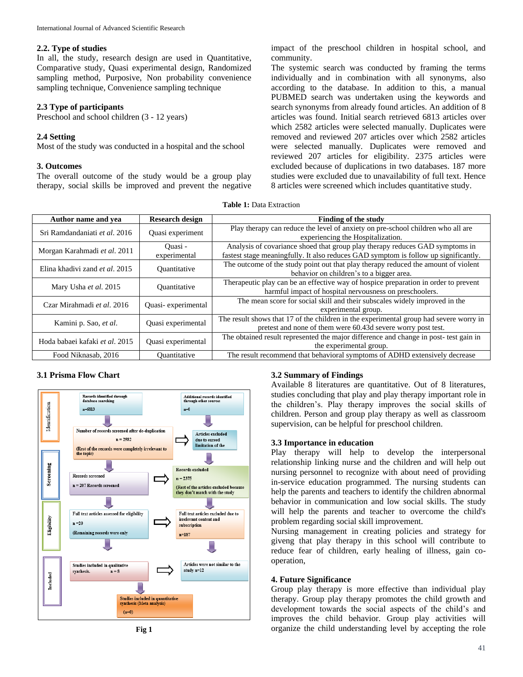### **2.2. Type of studies**

In all, the study, research design are used in Quantitative, Comparative study, Quasi experimental design, Randomized sampling method, Purposive, Non probability convenience sampling technique, Convenience sampling technique

#### **2.3 Type of participants**

Preschool and school children (3 - 12 years)

### **2.4 Setting**

Most of the study was conducted in a hospital and the school

#### **3. Outcomes**

The overall outcome of the study would be a group play therapy, social skills be improved and prevent the negative

impact of the preschool children in hospital school, and community.

The systemic search was conducted by framing the terms individually and in combination with all synonyms, also according to the database. In addition to this, a manual PUBMED search was undertaken using the keywords and search synonyms from already found articles. An addition of 8 articles was found. Initial search retrieved 6813 articles over which 2582 articles were selected manually. Duplicates were removed and reviewed 207 articles over which 2582 articles were selected manually. Duplicates were removed and reviewed 207 articles for eligibility. 2375 articles were excluded because of duplications in two databases. 187 more studies were excluded due to unavailability of full text. Hence 8 articles were screened which includes quantitative study.

**Table 1:** Data Extraction

| Author name and yea                   | <b>Research design</b>  | <b>Finding of the study</b>                                                                                                                                         |
|---------------------------------------|-------------------------|---------------------------------------------------------------------------------------------------------------------------------------------------------------------|
| Sri Ramdandaniati et al. 2016         | Quasi experiment        | Play therapy can reduce the level of anxiety on pre-school children who all are<br>experiencing the Hospitalization.                                                |
| Morgan Karahmadi et al. 2011          | Ouasi -<br>experimental | Analysis of covariance shoed that group play therapy reduces GAD symptoms in<br>fastest stage meaningfully. It also reduces GAD symptom is follow up significantly. |
| Elina khadivi zand et al. 2015        | Quantitative            | The outcome of the study point out that play therapy reduced the amount of violent<br>behavior on children's to a bigger area.                                      |
| Mary Usha et al. 2015                 | Quantitative            | Therapeutic play can be an effective way of hospice preparation in order to prevent<br>harmful impact of hospital nervousness on preschoolers.                      |
| Czar Mirahmadi et al. 2016            | Quasi-experimental      | The mean score for social skill and their subscales widely improved in the<br>experimental group.                                                                   |
| Kamini p. Sao, et al.                 | Quasi experimental      | The result shows that 17 of the children in the experimental group had severe worry in<br>pretest and none of them were 60.43d severe worry post test.              |
| Hoda babaei kafaki <i>et al.</i> 2015 | Quasi experimental      | The obtained result represented the major difference and change in post-test gain in<br>the experimental group.                                                     |
| Food Niknasab, 2016                   | Quantitative            | The result recommend that behavioral symptoms of ADHD extensively decrease                                                                                          |

#### **3.1 Prisma Flow Chart**



### **3.2 Summary of Findings**

Available 8 literatures are quantitative. Out of 8 literatures, studies concluding that play and play therapy important role in the children's. Play therapy improves the social skills of children. Person and group play therapy as well as classroom supervision, can be helpful for preschool children.

### **3.3 Importance in education**

Play therapy will help to develop the interpersonal relationship linking nurse and the children and will help out nursing personnel to recognize with about need of providing in-service education programmed. The nursing students can help the parents and teachers to identify the children abnormal behavior in communication and low social skills. The study will help the parents and teacher to overcome the child's problem regarding social skill improvement.

Nursing management in creating policies and strategy for giveng that play therapy in this school will contribute to reduce fear of children, early healing of illness, gain cooperation,

#### **4. Future Significance**

Group play therapy is more effective than individual play therapy. Group play therapy promotes the child growth and development towards the social aspects of the child's and improves the child behavior. Group play activities will organize the child understanding level by accepting the role

**Fig 1**